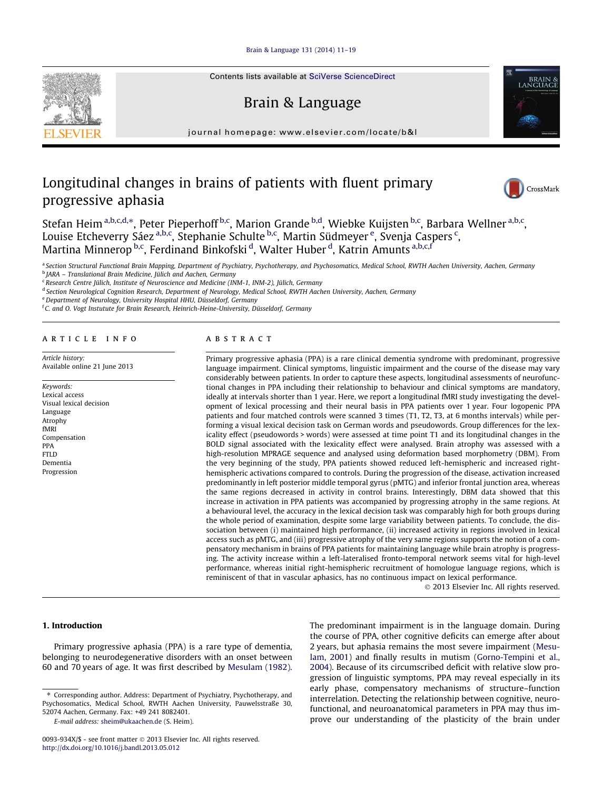## [Brain & Language 131 \(2014\) 11–19](http://dx.doi.org/10.1016/j.bandl.2013.05.012)



Contents lists available at [SciVerse ScienceDirect](http://www.sciencedirect.com/science/journal/0093934X)

# Brain & Language

journal homepage: [www.elsevier.com/locate/b&l](http://www.elsevier.com/locate/b&l)

# Longitudinal changes in brains of patients with fluent primary progressive aphasia



CrossMark

Stefan Heim <sup>a,b,c,d,</sup>\*, Peter Pieperhoff <sup>b,c</sup>, Marion Grande <sup>b,d</sup>, Wiebke Kuijsten <sup>b,c</sup>, Barbara Wellner <sup>a,b,c</sup>, Louise Etcheverry Sáez <sup>a,b,c</sup>, Stephanie Schulte <sup>b,c</sup>, Martin Südmeyer <sup>e</sup>, Svenja Caspers <sup>c</sup>, Martina Minnerop <sup>b,c</sup>, Ferdinand Binkofski <sup>d</sup>, Walter Huber <sup>d</sup>, Katrin Amunts <sup>a,b,c,f</sup>

a Section Structural Functional Brain Mapping, Department of Psychiatry, Psychotherapy, and Psychosomatics, Medical School, RWTH Aachen University, Aachen, Germany <sup>b</sup> JARA – Translational Brain Medicine, Jülich and Aachen, Germany

 $\epsilon$  Research Centre Jülich, Institute of Neuroscience and Medicine (INM-1, INM-2), Jülich, Germany

<sup>d</sup> Section Neurological Cognition Research, Department of Neurology, Medical School, RWTH Aachen University, Aachen, Germany

e Department of Neurology, University Hospital HHU, Düsseldorf, Germany

<sup>f</sup> C. and O. Vogt Instutute for Brain Research, Heinrich-Heine-University, Düsseldorf, Germany

#### article info

Article history: Available online 21 June 2013

Keywords: Lexical access Visual lexical decision Language Atrophy fMRI Compensation PPA FTLD Dementia Progression

#### **ABSTRACT**

Primary progressive aphasia (PPA) is a rare clinical dementia syndrome with predominant, progressive language impairment. Clinical symptoms, linguistic impairment and the course of the disease may vary considerably between patients. In order to capture these aspects, longitudinal assessments of neurofunctional changes in PPA including their relationship to behaviour and clinical symptoms are mandatory, ideally at intervals shorter than 1 year. Here, we report a longitudinal fMRI study investigating the development of lexical processing and their neural basis in PPA patients over 1 year. Four logopenic PPA patients and four matched controls were scanned 3 times (T1, T2, T3, at 6 months intervals) while performing a visual lexical decision task on German words and pseudowords. Group differences for the lexicality effect (pseudowords > words) were assessed at time point T1 and its longitudinal changes in the BOLD signal associated with the lexicality effect were analysed. Brain atrophy was assessed with a high-resolution MPRAGE sequence and analysed using deformation based morphometry (DBM). From the very beginning of the study, PPA patients showed reduced left-hemispheric and increased righthemispheric activations compared to controls. During the progression of the disease, activation increased predominantly in left posterior middle temporal gyrus (pMTG) and inferior frontal junction area, whereas the same regions decreased in activity in control brains. Interestingly, DBM data showed that this increase in activation in PPA patients was accompanied by progressing atrophy in the same regions. At a behavioural level, the accuracy in the lexical decision task was comparably high for both groups during the whole period of examination, despite some large variability between patients. To conclude, the dissociation between (i) maintained high performance, (ii) increased activity in regions involved in lexical access such as pMTG, and (iii) progressive atrophy of the very same regions supports the notion of a compensatory mechanism in brains of PPA patients for maintaining language while brain atrophy is progressing. The activity increase within a left-lateralised fronto-temporal network seems vital for high-level performance, whereas initial right-hemispheric recruitment of homologue language regions, which is reminiscent of that in vascular aphasics, has no continuous impact on lexical performance.

- 2013 Elsevier Inc. All rights reserved.

# 1. Introduction

Primary progressive aphasia (PPA) is a rare type of dementia, belonging to neurodegenerative disorders with an onset between 60 and 70 years of age. It was first described by [Mesulam \(1982\).](#page--1-0)

E-mail address: [sheim@ukaachen.de](mailto:sheim@ukaachen.de) (S. Heim).

The predominant impairment is in the language domain. During the course of PPA, other cognitive deficits can emerge after about 2 years, but aphasia remains the most severe impairment ([Mesu](#page--1-0)[lam, 2001](#page--1-0)) and finally results in mutism [\(Gorno-Tempini et al.,](#page--1-0) [2004](#page--1-0)). Because of its circumscribed deficit with relative slow progression of linguistic symptoms, PPA may reveal especially in its early phase, compensatory mechanisms of structure–function interrelation. Detecting the relationship between cognitive, neurofunctional, and neuroanatomical parameters in PPA may thus improve our understanding of the plasticity of the brain under

<sup>⇑</sup> Corresponding author. Address: Department of Psychiatry, Psychotherapy, and Psychosomatics, Medical School, RWTH Aachen University, Pauwelsstraße 30, 52074 Aachen, Germany. Fax: +49 241 8082401.

<sup>0093-934</sup>X/\$ - see front matter © 2013 Elsevier Inc. All rights reserved. <http://dx.doi.org/10.1016/j.bandl.2013.05.012>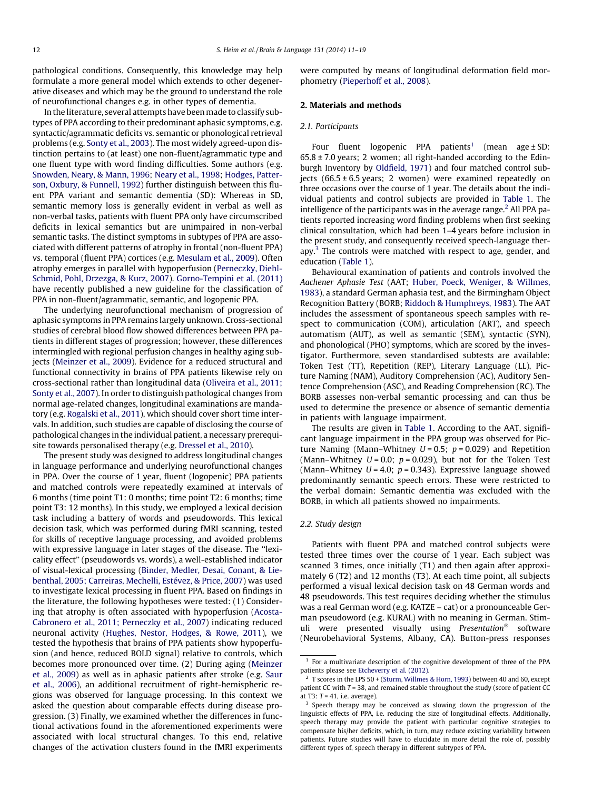pathological conditions. Consequently, this knowledge may help formulate a more general model which extends to other degenerative diseases and which may be the ground to understand the role of neurofunctional changes e.g. in other types of dementia.

In the literature, several attempts have been made to classify subtypes of PPA according to their predominant aphasic symptoms, e.g. syntactic/agrammatic deficits vs. semantic or phonological retrieval problems (e.g. [Sonty et al., 2003](#page--1-0)). The most widely agreed-upon distinction pertains to (at least) one non-fluent/agrammatic type and one fluent type with word finding difficulties. Some authors (e.g. [Snowden, Neary, & Mann, 1996](#page--1-0); [Neary et al., 1998](#page--1-0); [Hodges, Patter](#page--1-0)[son, Oxbury, & Funnell, 1992](#page--1-0)) further distinguish between this fluent PPA variant and semantic dementia (SD): Whereas in SD, semantic memory loss is generally evident in verbal as well as non-verbal tasks, patients with fluent PPA only have circumscribed deficits in lexical semantics but are unimpaired in non-verbal semantic tasks. The distinct symptoms in subtypes of PPA are associated with different patterns of atrophy in frontal (non-fluent PPA) vs. temporal (fluent PPA) cortices (e.g. [Mesulam et al., 2009\)](#page--1-0). Often atrophy emerges in parallel with hypoperfusion ([Perneczky, Diehl-](#page--1-0)[Schmid, Pohl, Drzezga, & Kurz, 2007\)](#page--1-0). [Gorno-Tempini et al. \(2011\)](#page--1-0) have recently published a new guideline for the classification of PPA in non-fluent/agrammatic, semantic, and logopenic PPA.

The underlying neurofunctional mechanism of progression of aphasic symptoms in PPA remains largely unknown. Cross-sectional studies of cerebral blood flow showed differences between PPA patients in different stages of progression; however, these differences intermingled with regional perfusion changes in healthy aging subjects ([Meinzer et al., 2009](#page--1-0)). Evidence for a reduced structural and functional connectivity in brains of PPA patients likewise rely on cross-sectional rather than longitudinal data ([Oliveira et al., 2011;](#page--1-0) [Sonty et al., 2007\)](#page--1-0). In order to distinguish pathological changes from normal age-related changes, longitudinal examinations are mandatory (e.g. [Rogalski et al., 2011\)](#page--1-0), which should cover short time intervals. In addition, such studies are capable of disclosing the course of pathological changes in the individual patient, a necessary prerequisite towards personalised therapy (e.g. [Dressel et al., 2010](#page--1-0)).

The present study was designed to address longitudinal changes in language performance and underlying neurofunctional changes in PPA. Over the course of 1 year, fluent (logopenic) PPA patients and matched controls were repeatedly examined at intervals of 6 months (time point T1: 0 months; time point T2: 6 months; time point T3: 12 months). In this study, we employed a lexical decision task including a battery of words and pseudowords. This lexical decision task, which was performed during fMRI scanning, tested for skills of receptive language processing, and avoided problems with expressive language in later stages of the disease. The ''lexicality effect'' (pseudowords vs. words), a well-established indicator of visual-lexical processing [\(Binder, Medler, Desai, Conant, & Lie](#page--1-0)[benthal, 2005; Carreiras, Mechelli, Estévez, & Price, 2007](#page--1-0)) was used to investigate lexical processing in fluent PPA. Based on findings in the literature, the following hypotheses were tested: (1) Considering that atrophy is often associated with hypoperfusion ([Acosta-](#page--1-0)[Cabronero et al., 2011; Perneczky et al., 2007\)](#page--1-0) indicating reduced neuronal activity ([Hughes, Nestor, Hodges, & Rowe, 2011](#page--1-0)), we tested the hypothesis that brains of PPA patients show hypoperfusion (and hence, reduced BOLD signal) relative to controls, which becomes more pronounced over time. (2) During aging ([Meinzer](#page--1-0) [et al., 2009](#page--1-0)) as well as in aphasic patients after stroke (e.g. [Saur](#page--1-0) [et al., 2006](#page--1-0)), an additional recruitment of right-hemispheric regions was observed for language processing. In this context we asked the question about comparable effects during disease progression. (3) Finally, we examined whether the differences in functional activations found in the aforementioned experiments were associated with local structural changes. To this end, relative changes of the activation clusters found in the fMRI experiments were computed by means of longitudinal deformation field morphometry ([Pieperhoff et al., 2008\)](#page--1-0).

## 2. Materials and methods

#### 2.1. Participants

Four fluent logopenic PPA patients<sup>1</sup> (mean age  $\pm$  SD:  $65.8 \pm 7.0$  years; 2 women; all right-handed according to the Edinburgh Inventory by [Oldfield, 1971](#page--1-0)) and four matched control subjects  $(66.5 \pm 6.5 \text{ years}; 2 \text{ women})$  were examined repeatedly on three occasions over the course of 1 year. The details about the individual patients and control subjects are provided in [Table 1.](#page--1-0) The intelligence of the participants was in the average range.<sup>2</sup> All PPA patients reported increasing word finding problems when first seeking clinical consultation, which had been 1–4 years before inclusion in the present study, and consequently received speech-language therapy. $3$  The controls were matched with respect to age, gender, and education ([Table 1\)](#page--1-0).

Behavioural examination of patients and controls involved the Aachener Aphasie Test (AAT; [Huber, Poeck, Weniger, & Willmes,](#page--1-0) [1983\)](#page--1-0), a standard German aphasia test, and the Birmingham Object Recognition Battery (BORB; [Riddoch & Humphreys, 1983](#page--1-0)). The AAT includes the assessment of spontaneous speech samples with respect to communication (COM), articulation (ART), and speech automatism (AUT), as well as semantic (SEM), syntactic (SYN), and phonological (PHO) symptoms, which are scored by the investigator. Furthermore, seven standardised subtests are available: Token Test (TT), Repetition (REP), Literary Language (LL), Picture Naming (NAM), Auditory Comprehension (AC), Auditory Sentence Comprehension (ASC), and Reading Comprehension (RC). The BORB assesses non-verbal semantic processing and can thus be used to determine the presence or absence of semantic dementia in patients with language impairment.

The results are given in [Table 1.](#page--1-0) According to the AAT, significant language impairment in the PPA group was observed for Picture Naming (Mann–Whitney  $U = 0.5$ ;  $p = 0.029$ ) and Repetition (Mann–Whitney  $U = 0.0$ ;  $p = 0.029$ ), but not for the Token Test (Mann–Whitney  $U = 4.0$ ;  $p = 0.343$ ). Expressive language showed predominantly semantic speech errors. These were restricted to the verbal domain: Semantic dementia was excluded with the BORB, in which all patients showed no impairments.

### 2.2. Study design

Patients with fluent PPA and matched control subjects were tested three times over the course of 1 year. Each subject was scanned 3 times, once initially (T1) and then again after approximately 6 (T2) and 12 months (T3). At each time point, all subjects performed a visual lexical decision task on 48 German words and 48 pseudowords. This test requires deciding whether the stimulus was a real German word (e.g. KATZE – cat) or a pronounceable German pseudoword (e.g. KURAL) with no meaning in German. Stimuli were presented visually using Presentation<sup>®</sup> software (Neurobehavioral Systems, Albany, CA). Button-press responses

 $1$  For a multivariate description of the cognitive development of three of the PPA patients please see [Etcheverry et al. \(2012\)](#page--1-0).

<sup>2</sup> T scores in the LPS 50 + [\(Sturm, Willmes & Horn, 1993\)](#page--1-0) between 40 and 60, except patient CC with  $T = 38$ , and remained stable throughout the study (score of patient CC at T3:  $T = 41$ , i.e. average).

<sup>&</sup>lt;sup>3</sup> Speech therapy may be conceived as slowing down the progression of the linguistic effects of PPA, i.e. reducing the size of longitudinal effects. Additionally, speech therapy may provide the patient with particular cognitive strategies to compensate his/her deficits, which, in turn, may reduce existing variability between patients. Future studies will have to elucidate in more detail the role of, possibly different types of, speech therapy in different subtypes of PPA.